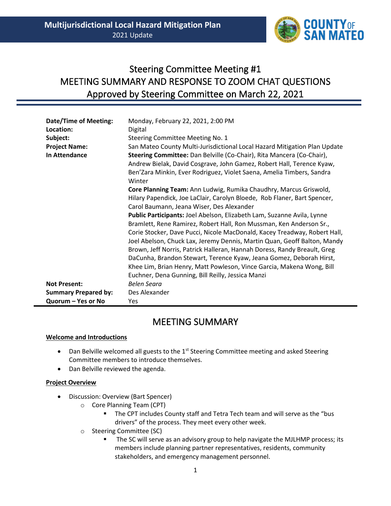

# Steering Committee Meeting #1 MEETING SUMMARY AND RESPONSE TO ZOOM CHAT QUESTIONS Approved by Steering Committee on March 22, 2021

| <b>Date/Time of Meeting:</b> | Monday, February 22, 2021, 2:00 PM                                        |  |
|------------------------------|---------------------------------------------------------------------------|--|
| Location:                    | Digital                                                                   |  |
| Subject:                     | Steering Committee Meeting No. 1                                          |  |
| <b>Project Name:</b>         | San Mateo County Multi-Jurisdictional Local Hazard Mitigation Plan Update |  |
| In Attendance                | Steering Committee: Dan Belville (Co-Chair), Rita Mancera (Co-Chair),     |  |
|                              | Andrew Bielak, David Cosgrave, John Gamez, Robert Hall, Terence Kyaw,     |  |
|                              | Ben'Zara Minkin, Ever Rodriguez, Violet Saena, Amelia Timbers, Sandra     |  |
|                              | Winter                                                                    |  |
|                              | Core Planning Team: Ann Ludwig, Rumika Chaudhry, Marcus Griswold,         |  |
|                              | Hilary Papendick, Joe LaClair, Carolyn Bloede, Rob Flaner, Bart Spencer,  |  |
|                              | Carol Baumann, Jeana Wiser, Des Alexander                                 |  |
|                              | Public Participants: Joel Abelson, Elizabeth Lam, Suzanne Avila, Lynne    |  |
|                              | Bramlett, Rene Ramirez, Robert Hall, Ron Mussman, Ken Anderson Sr.,       |  |
|                              | Corie Stocker, Dave Pucci, Nicole MacDonald, Kacey Treadway, Robert Hall, |  |
|                              | Joel Abelson, Chuck Lax, Jeremy Dennis, Martin Quan, Geoff Balton, Mandy  |  |
|                              | Brown, Jeff Norris, Patrick Halleran, Hannah Doress, Randy Breault, Greg  |  |
|                              | DaCunha, Brandon Stewart, Terence Kyaw, Jeana Gomez, Deborah Hirst,       |  |
|                              | Khee Lim, Brian Henry, Matt Powleson, Vince Garcia, Makena Wong, Bill     |  |
|                              | Euchner, Dena Gunning, Bill Reilly, Jessica Manzi                         |  |
| <b>Not Present:</b>          | <b>Belen Seara</b>                                                        |  |
| <b>Summary Prepared by:</b>  | Des Alexander                                                             |  |
| Quorum - Yes or No           | Yes                                                                       |  |

# MEETING SUMMARY

# **Welcome and Introductions**

- Dan Belville welcomed all guests to the 1<sup>st</sup> Steering Committee meeting and asked Steering Committee members to introduce themselves.
- Dan Belville reviewed the agenda.

# **Project Overview**

- Discussion: Overview (Bart Spencer)
	- o Core Planning Team (CPT)
		- The CPT includes County staff and Tetra Tech team and will serve as the "bus drivers" of the process. They meet every other week.
	- o Steering Committee (SC)
		- The SC will serve as an advisory group to help navigate the MJLHMP process; its members include planning partner representatives, residents, community stakeholders, and emergency management personnel.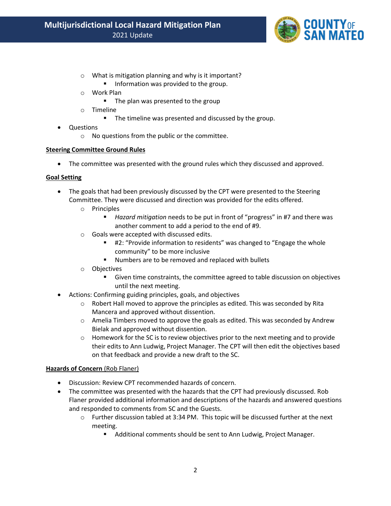

- o What is mitigation planning and why is it important? **·** Information was provided to the group.
- o Work Plan
	- The plan was presented to the group
- o Timeline
	- The timeline was presented and discussed by the group.
- Questions
	- o No questions from the public or the committee.

## **Steering Committee Ground Rules**

• The committee was presented with the ground rules which they discussed and approved.

## **Goal Setting**

- The goals that had been previously discussed by the CPT were presented to the Steering Committee. They were discussed and direction was provided for the edits offered.
	- o Principles
		- *Hazard mitigation* needs to be put in front of "progress" in #7 and there was another comment to add a period to the end of #9.
	- o Goals were accepted with discussed edits.
		- #2: "Provide information to residents" was changed to "Engage the whole community" to be more inclusive
		- Numbers are to be removed and replaced with bullets
	- o Objectives
		- Given time constraints, the committee agreed to table discussion on objectives until the next meeting.
- Actions: Confirming guiding principles, goals, and objectives
	- $\circ$  Robert Hall moved to approve the principles as edited. This was seconded by Rita Mancera and approved without dissention.
	- $\circ$  Amelia Timbers moved to approve the goals as edited. This was seconded by Andrew Bielak and approved without dissention.
	- $\circ$  Homework for the SC is to review objectives prior to the next meeting and to provide their edits to Ann Ludwig, Project Manager. The CPT will then edit the objectives based on that feedback and provide a new draft to the SC.

#### **Hazards of Concern** (Rob Flaner)

- Discussion: Review CPT recommended hazards of concern.
- The committee was presented with the hazards that the CPT had previously discussed. Rob Flaner provided additional information and descriptions of the hazards and answered questions and responded to comments from SC and the Guests.
	- o Further discussion tabled at 3:34 PM. This topic will be discussed further at the next meeting.
		- Additional comments should be sent to Ann Ludwig, Project Manager.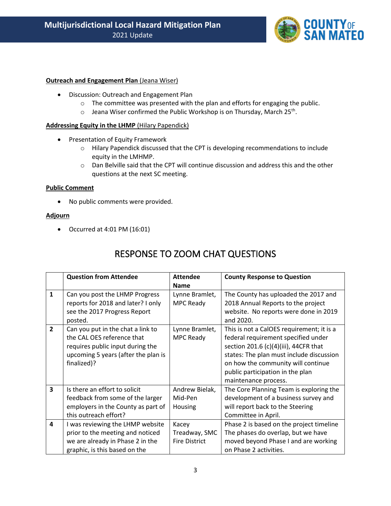

## **Outreach and Engagement Plan (Jeana Wiser)**

- Discussion: Outreach and Engagement Plan
	- $\circ$  The committee was presented with the plan and efforts for engaging the public.
	- $\circ$  Jeana Wiser confirmed the Public Workshop is on Thursday, March 25<sup>th</sup>.

## **Addressing Equity in the LHMP** (Hilary Papendick)

- Presentation of Equity Framework
	- o Hilary Papendick discussed that the CPT is developing recommendations to include equity in the LMHMP.
	- o Dan Belville said that the CPT will continue discussion and address this and the other questions at the next SC meeting.

#### **Public Comment**

• No public comments were provided.

#### **Adjourn**

• Occurred at 4:01 PM (16:01)

# RESPONSE TO ZOOM CHAT QUESTIONS

|                         | <b>Question from Attendee</b>       | <b>Attendee</b>      | <b>County Response to Question</b>        |
|-------------------------|-------------------------------------|----------------------|-------------------------------------------|
|                         |                                     | <b>Name</b>          |                                           |
| $\mathbf{1}$            | Can you post the LHMP Progress      | Lynne Bramlet,       | The County has uploaded the 2017 and      |
|                         | reports for 2018 and later? I only  | MPC Ready            | 2018 Annual Reports to the project        |
|                         | see the 2017 Progress Report        |                      | website. No reports were done in 2019     |
|                         | posted.                             |                      | and 2020.                                 |
| $\overline{2}$          | Can you put in the chat a link to   | Lynne Bramlet,       | This is not a CalOES requirement; it is a |
|                         | the CAL OES reference that          | MPC Ready            | federal requirement specified under       |
|                         | requires public input during the    |                      | section 201.6 (c)(4)(iii), 44CFR that     |
|                         | upcoming 5 years (after the plan is |                      | states: The plan must include discussion  |
|                         | finalized)?                         |                      | on how the community will continue        |
|                         |                                     |                      | public participation in the plan          |
|                         |                                     |                      | maintenance process.                      |
| $\overline{\mathbf{3}}$ | Is there an effort to solicit       | Andrew Bielak,       | The Core Planning Team is exploring the   |
|                         | feedback from some of the larger    | Mid-Pen              | development of a business survey and      |
|                         | employers in the County as part of  | Housing              | will report back to the Steering          |
|                         | this outreach effort?               |                      | Committee in April.                       |
| 4                       | I was reviewing the LHMP website    | Kacey                | Phase 2 is based on the project timeline  |
|                         | prior to the meeting and noticed    | Treadway, SMC        | The phases do overlap, but we have        |
|                         | we are already in Phase 2 in the    | <b>Fire District</b> | moved beyond Phase I and are working      |
|                         | graphic, is this based on the       |                      | on Phase 2 activities.                    |